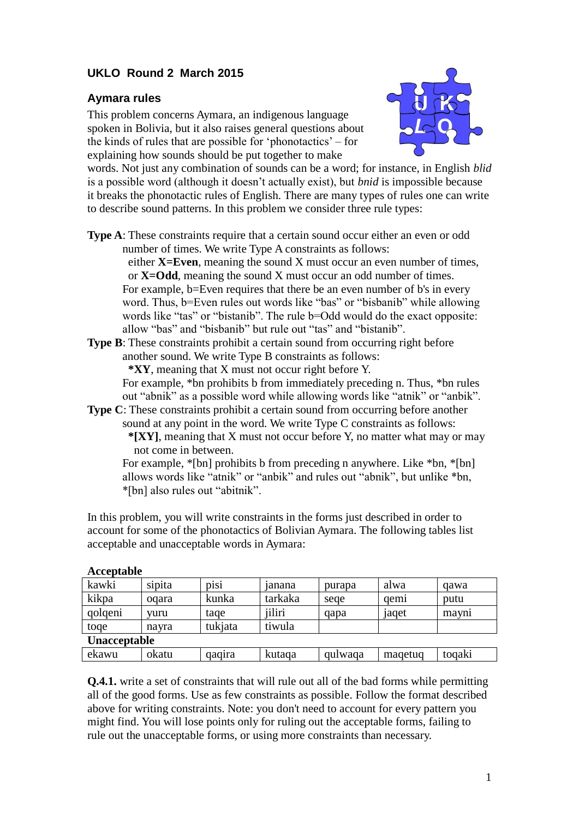## **UKLO Round 2 March 2015**

## **Aymara rules**

This problem concerns Aymara, an indigenous language spoken in Bolivia, but it also raises general questions about the kinds of rules that are possible for 'phonotactics' – for explaining how sounds should be put together to make



words. Not just any combination of sounds can be a word; for instance, in English *blid* is a possible word (although it doesn't actually exist), but *bnid* is impossible because it breaks the phonotactic rules of English. There are many types of rules one can write to describe sound patterns. In this problem we consider three rule types:

**Type A**: These constraints require that a certain sound occur either an even or odd number of times. We write Type A constraints as follows:

 either **X=Even**, meaning the sound X must occur an even number of times, or **X=Odd**, meaning the sound X must occur an odd number of times. For example, b=Even requires that there be an even number of b's in every word. Thus, b=Even rules out words like "bas" or "bisbanib" while allowing words like "tas" or "bistanib". The rule b=Odd would do the exact opposite: allow "bas" and "bisbanib" but rule out "tas" and "bistanib".

**Type B**: These constraints prohibit a certain sound from occurring right before another sound. We write Type B constraints as follows:

 **\*XY**, meaning that X must not occur right before Y.

For example, \*bn prohibits b from immediately preceding n. Thus, \*bn rules out "abnik" as a possible word while allowing words like "atnik" or "anbik".

**Type C**: These constraints prohibit a certain sound from occurring before another sound at any point in the word. We write Type C constraints as follows:  **\*[XY]**, meaning that X must not occur before Y, no matter what may or may

not come in between.

For example, \*[bn] prohibits b from preceding n anywhere. Like \*bn, \*[bn] allows words like "atnik" or "anbik" and rules out "abnik", but unlike \*bn, \*[bn] also rules out "abitnik".

In this problem, you will write constraints in the forms just described in order to account for some of the phonotactics of Bolivian Aymara. The following tables list acceptable and unacceptable words in Aymara:

| Accepiable   |        |             |         |         |         |                   |
|--------------|--------|-------------|---------|---------|---------|-------------------|
| kawki        | sipita | <b>D1S1</b> | janana  | purapa  | alwa    | qawa              |
| kikpa        | ogara  | kunka       | tarkaka | sege    | qem     | putu              |
| qolqeni      | vuru   | tage        | jiliri  | qapa    | 1aqet   | mayn <sub>1</sub> |
| toge         | navra  | tukjata     | tiwula  |         |         |                   |
| Unacceptable |        |             |         |         |         |                   |
| ekawu        | okatu  | qaqira      | kutaga  | qulwaqa | magetug | toqaki            |

## **Acceptable**

**Q.4.1.** write a set of constraints that will rule out all of the bad forms while permitting all of the good forms. Use as few constraints as possible. Follow the format described above for writing constraints. Note: you don't need to account for every pattern you might find. You will lose points only for ruling out the acceptable forms, failing to rule out the unacceptable forms, or using more constraints than necessary.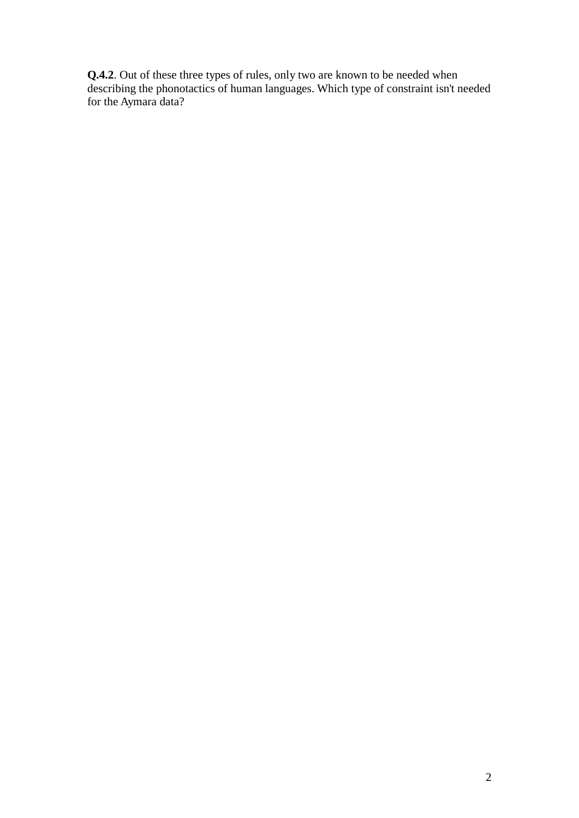**Q.4.2**. Out of these three types of rules, only two are known to be needed when describing the phonotactics of human languages. Which type of constraint isn't needed for the Aymara data?